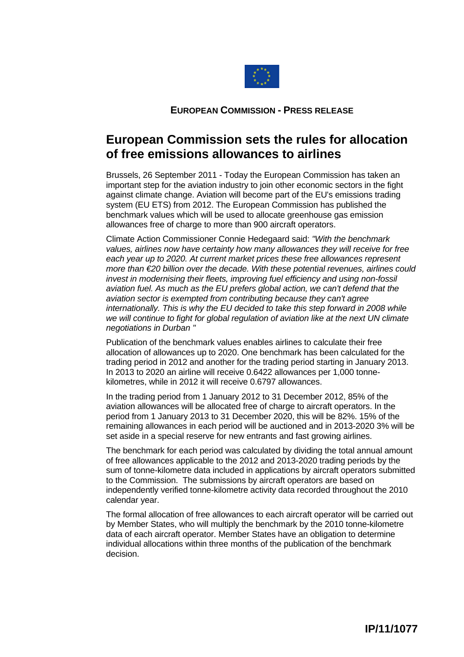

## **EUROPEAN COMMISSION - PRESS RELEASE**

## **European Commission sets the rules for allocation of free emissions allowances to airlines**

Brussels, 26 September 2011 - Today the European Commission has taken an important step for the aviation industry to join other economic sectors in the fight against climate change. Aviation will become part of the EU's emissions trading system (EU ETS) from 2012. The European Commission has published the benchmark values which will be used to allocate greenhouse gas emission allowances free of charge to more than 900 aircraft operators.

Climate Action Commissioner Connie Hedegaard said: *"With the benchmark values, airlines now have certainty how many allowances they will receive for free each year up to 2020. At current market prices these free allowances represent more than €20 billion over the decade. With these potential revenues, airlines could invest in modernising their fleets, improving fuel efficiency and using non-fossil aviation fuel. As much as the EU prefers global action, we can't defend that the aviation sector is exempted from contributing because they can't agree internationally. This is why the EU decided to take this step forward in 2008 while we will continue to fight for global regulation of aviation like at the next UN climate negotiations in Durban ''* 

Publication of the benchmark values enables airlines to calculate their free allocation of allowances up to 2020. One benchmark has been calculated for the trading period in 2012 and another for the trading period starting in January 2013. In 2013 to 2020 an airline will receive 0.6422 allowances per 1,000 tonnekilometres, while in 2012 it will receive 0.6797 allowances.

In the trading period from 1 January 2012 to 31 December 2012, 85% of the aviation allowances will be allocated free of charge to aircraft operators. In the period from 1 January 2013 to 31 December 2020, this will be 82%. 15% of the remaining allowances in each period will be auctioned and in 2013-2020 3% will be set aside in a special reserve for new entrants and fast growing airlines.

The benchmark for each period was calculated by dividing the total annual amount of free allowances applicable to the 2012 and 2013-2020 trading periods by the sum of tonne-kilometre data included in applications by aircraft operators submitted to the Commission. The submissions by aircraft operators are based on independently verified tonne-kilometre activity data recorded throughout the 2010 calendar year.

The formal allocation of free allowances to each aircraft operator will be carried out by Member States, who will multiply the benchmark by the 2010 tonne-kilometre data of each aircraft operator. Member States have an obligation to determine individual allocations within three months of the publication of the benchmark decision.